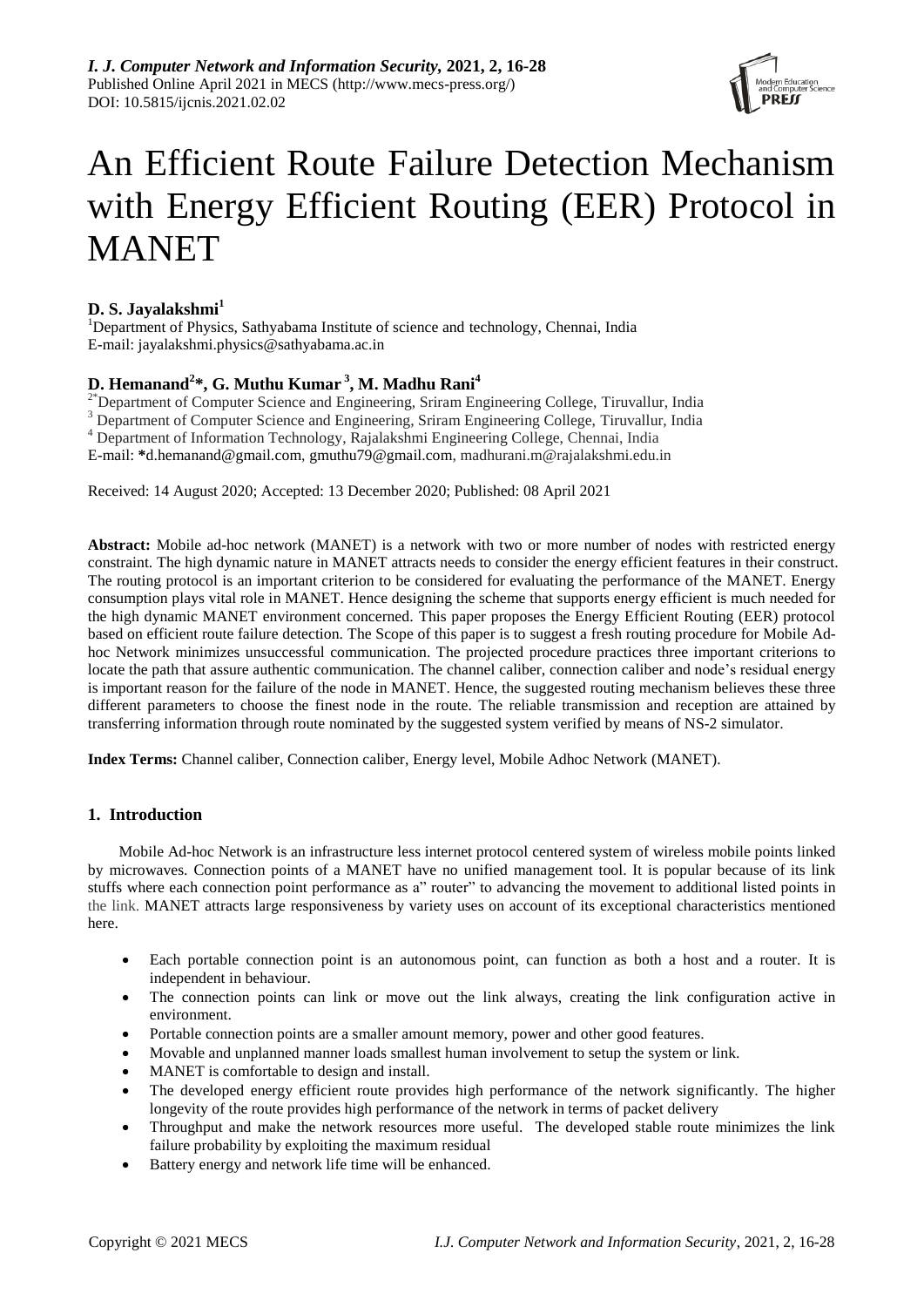

# An Efficient Route Failure Detection Mechanism with Energy Efficient Routing (EER) Protocol in MANET

# **D. S. Jayalakshmi<sup>1</sup>**

<sup>1</sup>Department of Physics, Sathyabama Institute of science and technology, Chennai, India E-mail: jayalakshmi.physics@sathyabama.ac.in

# **D. Hemanand<sup>2</sup> \*, G. Muthu Kumar <sup>3</sup> , M. Madhu Rani<sup>4</sup>**

<sup>2\*</sup>Department of Computer Science and Engineering, Sriram Engineering College, Tiruvallur, India <sup>3</sup> Department of Computer Science and Engineering, Sriram Engineering College, Tiruvallur, India <sup>4</sup> Department of Information Technology, Rajalakshmi Engineering College, Chennai, India

E-mail: **\***d.hemanand@gmail.com, gmuthu79@gmail.com, madhurani.m@rajalakshmi.edu.in

Received: 14 August 2020; Accepted: 13 December 2020; Published: 08 April 2021

**Abstract:** Mobile ad-hoc network (MANET) is a network with two or more number of nodes with restricted energy constraint. The high dynamic nature in MANET attracts needs to consider the energy efficient features in their construct. The routing protocol is an important criterion to be considered for evaluating the performance of the MANET. Energy consumption plays vital role in MANET. Hence designing the scheme that supports energy efficient is much needed for the high dynamic MANET environment concerned. This paper proposes the Energy Efficient Routing (EER) protocol based on efficient route failure detection. The Scope of this paper is to suggest a fresh routing procedure for Mobile Adhoc Network minimizes unsuccessful communication. The projected procedure practices three important criterions to locate the path that assure authentic communication. The channel caliber, connection caliber and node's residual energy is important reason for the failure of the node in MANET. Hence, the suggested routing mechanism believes these three different parameters to choose the finest node in the route. The reliable transmission and reception are attained by transferring information through route nominated by the suggested system verified by means of NS-2 simulator.

**Index Terms:** Channel caliber, Connection caliber, Energy level, Mobile Adhoc Network (MANET).

# **1. Introduction**

Mobile Ad-hoc Network is an infrastructure less internet protocol centered system of wireless mobile points linked by microwaves. Connection points of a MANET have no unified management tool. It is popular because of its link stuffs where each connection point performance as a" router" to advancing the movement to additional listed points in the link. MANET attracts large responsiveness by variety uses on account of its exceptional characteristics mentioned here.

- Each portable connection point is an autonomous point, can function as both a host and a router. It is independent in behaviour.
- The connection points can link or move out the link always, creating the link configuration active in environment.
- Portable connection points are a smaller amount memory, power and other good features.
- Movable and unplanned manner loads smallest human involvement to setup the system or link.
- MANET is comfortable to design and install.
- The developed energy efficient route provides high performance of the network significantly. The higher longevity of the route provides high performance of the network in terms of packet delivery
- Throughput and make the network resources more useful. The developed stable route minimizes the link failure probability by exploiting the maximum residual
- Battery energy and network life time will be enhanced.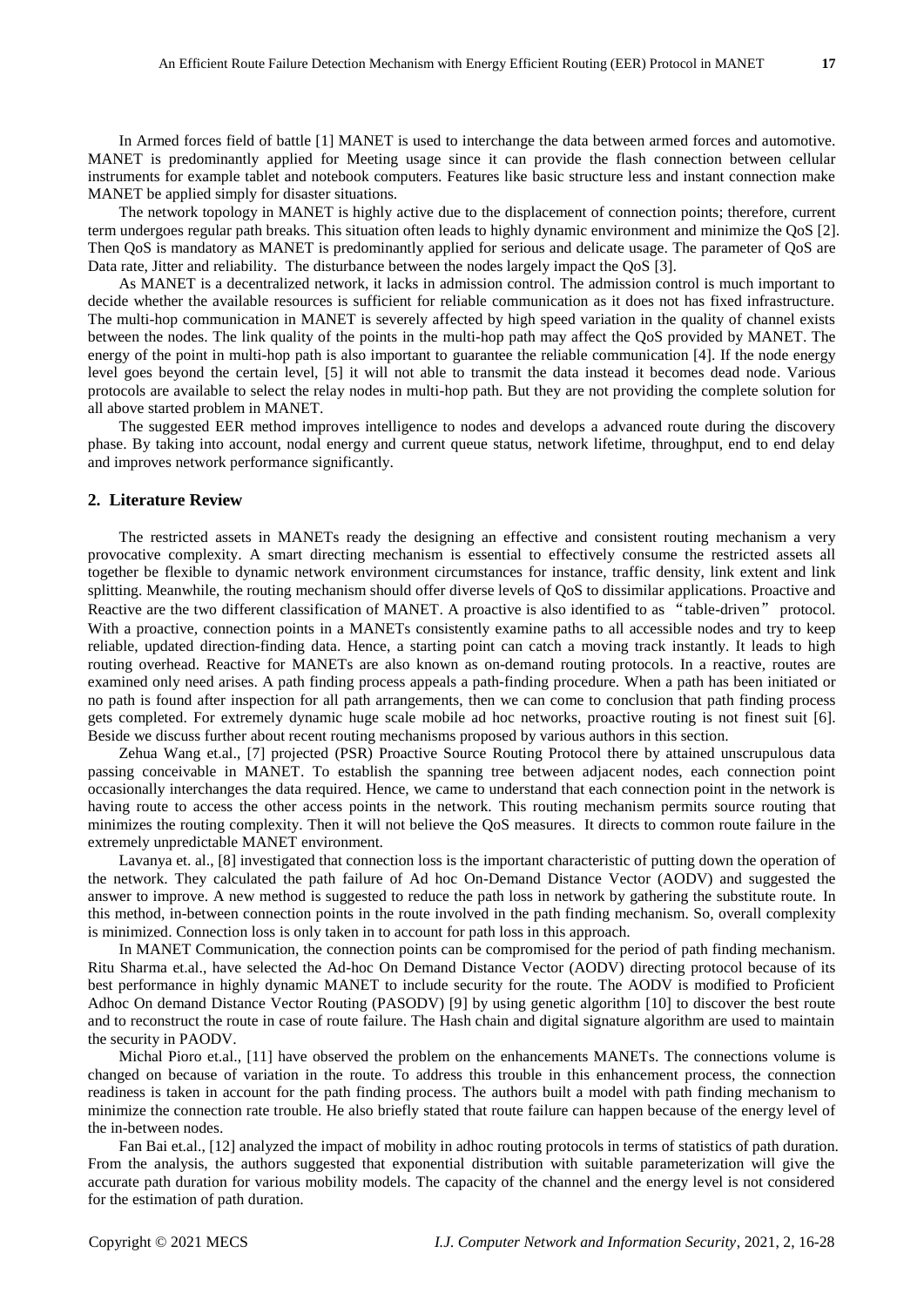In Armed forces field of battle [1] MANET is used to interchange the data between armed forces and automotive. MANET is predominantly applied for Meeting usage since it can provide the flash connection between cellular instruments for example tablet and notebook computers. Features like basic structure less and instant connection make MANET be applied simply for disaster situations.

The network topology in MANET is highly active due to the displacement of connection points; therefore, current term undergoes regular path breaks. This situation often leads to highly dynamic environment and minimize the QoS [2]. Then QoS is mandatory as MANET is predominantly applied for serious and delicate usage. The parameter of QoS are Data rate, Jitter and reliability. The disturbance between the nodes largely impact the OoS [3].

As MANET is a decentralized network, it lacks in admission control. The admission control is much important to decide whether the available resources is sufficient for reliable communication as it does not has fixed infrastructure. The multi-hop communication in MANET is severely affected by high speed variation in the quality of channel exists between the nodes. The link quality of the points in the multi-hop path may affect the QoS provided by MANET. The energy of the point in multi-hop path is also important to guarantee the reliable communication [4]. If the node energy level goes beyond the certain level, [5] it will not able to transmit the data instead it becomes dead node. Various protocols are available to select the relay nodes in multi-hop path. But they are not providing the complete solution for all above started problem in MANET.

The suggested EER method improves intelligence to nodes and develops a advanced route during the discovery phase. By taking into account, nodal energy and current queue status, network lifetime, throughput, end to end delay and improves network performance significantly.

## **2. Literature Review**

The restricted assets in MANETs ready the designing an effective and consistent routing mechanism a very provocative complexity. A smart directing mechanism is essential to effectively consume the restricted assets all together be flexible to dynamic network environment circumstances for instance, traffic density, link extent and link splitting. Meanwhile, the routing mechanism should offer diverse levels of QoS to dissimilar applications. Proactive and Reactive are the two different classification of MANET. A proactive is also identified to as "table-driven" protocol. With a proactive, connection points in a MANETs consistently examine paths to all accessible nodes and try to keep reliable, updated direction-finding data. Hence, a starting point can catch a moving track instantly. It leads to high routing overhead. Reactive for MANETs are also known as on-demand routing protocols. In a reactive, routes are examined only need arises. A path finding process appeals a path-finding procedure. When a path has been initiated or no path is found after inspection for all path arrangements, then we can come to conclusion that path finding process gets completed. For extremely dynamic huge scale mobile ad hoc networks, proactive routing is not finest suit [6]. Beside we discuss further about recent routing mechanisms proposed by various authors in this section.

Zehua Wang et.al., [7] projected (PSR) Proactive Source Routing Protocol there by attained unscrupulous data passing conceivable in MANET. To establish the spanning tree between adjacent nodes, each connection point occasionally interchanges the data required. Hence, we came to understand that each connection point in the network is having route to access the other access points in the network. This routing mechanism permits source routing that minimizes the routing complexity. Then it will not believe the QoS measures. It directs to common route failure in the extremely unpredictable MANET environment.

Lavanya et. al., [8] investigated that connection loss is the important characteristic of putting down the operation of the network. They calculated the path failure of Ad hoc On-Demand Distance Vector (AODV) and suggested the answer to improve. A new method is suggested to reduce the path loss in network by gathering the substitute route. In this method, in-between connection points in the route involved in the path finding mechanism. So, overall complexity is minimized. Connection loss is only taken in to account for path loss in this approach.

In MANET Communication, the connection points can be compromised for the period of path finding mechanism. Ritu Sharma et.al., have selected the Ad-hoc On Demand Distance Vector (AODV) directing protocol because of its best performance in highly dynamic MANET to include security for the route. The AODV is modified to Proficient Adhoc On demand Distance Vector Routing (PASODV) [9] by using genetic algorithm [10] to discover the best route and to reconstruct the route in case of route failure. The Hash chain and digital signature algorithm are used to maintain the security in PAODV.

Michal Pioro et.al., [11] have observed the problem on the enhancements MANETs. The connections volume is changed on because of variation in the route. To address this trouble in this enhancement process, the connection readiness is taken in account for the path finding process. The authors built a model with path finding mechanism to minimize the connection rate trouble. He also briefly stated that route failure can happen because of the energy level of the in-between nodes.

Fan Bai et.al., [12] analyzed the impact of mobility in adhoc routing protocols in terms of statistics of path duration. From the analysis, the authors suggested that exponential distribution with suitable parameterization will give the accurate path duration for various mobility models. The capacity of the channel and the energy level is not considered for the estimation of path duration.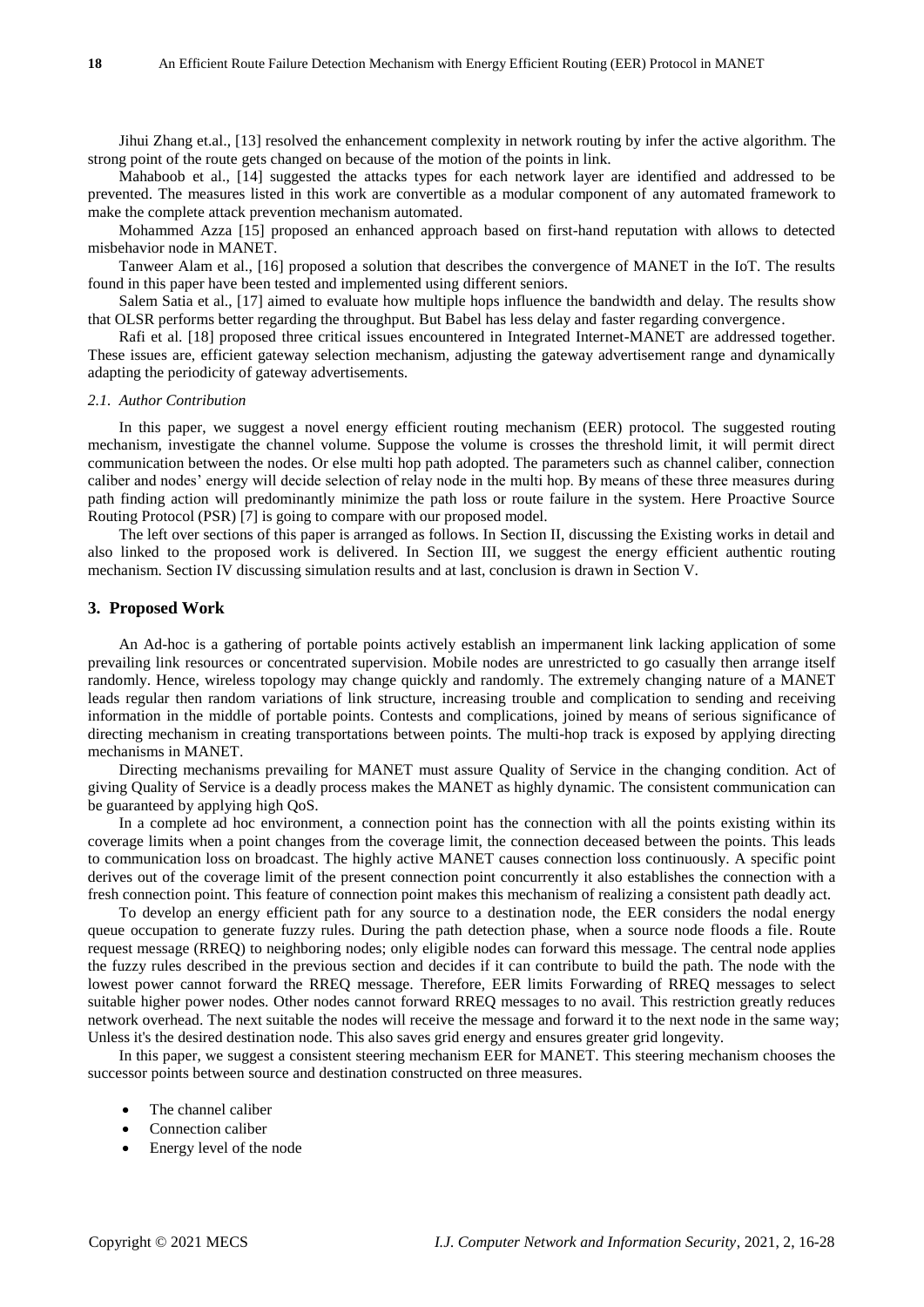Jihui Zhang et.al., [13] resolved the enhancement complexity in network routing by infer the active algorithm. The strong point of the route gets changed on because of the motion of the points in link.

Mahaboob et al., [14] suggested the attacks types for each network layer are identified and addressed to be prevented. The measures listed in this work are convertible as a modular component of any automated framework to make the complete attack prevention mechanism automated.

Mohammed Azza [15] proposed an enhanced approach based on first-hand reputation with allows to detected misbehavior node in MANET.

Tanweer Alam et al., [16] proposed a solution that describes the convergence of MANET in the IoT. The results found in this paper have been tested and implemented using different seniors.

Salem Satia et al., [17] aimed to evaluate how multiple hops influence the bandwidth and delay. The results show that OLSR performs better regarding the throughput. But Babel has less delay and faster regarding convergence.

Rafi et al. [18] proposed three critical issues encountered in Integrated Internet-MANET are addressed together. These issues are, efficient gateway selection mechanism, adjusting the gateway advertisement range and dynamically adapting the periodicity of gateway advertisements.

#### *2.1. Author Contribution*

In this paper, we suggest a novel energy efficient routing mechanism (EER) protocol. The suggested routing mechanism, investigate the channel volume. Suppose the volume is crosses the threshold limit, it will permit direct communication between the nodes. Or else multi hop path adopted. The parameters such as channel caliber, connection caliber and nodes' energy will decide selection of relay node in the multi hop. By means of these three measures during path finding action will predominantly minimize the path loss or route failure in the system. Here Proactive Source Routing Protocol (PSR) [7] is going to compare with our proposed model.

The left over sections of this paper is arranged as follows. In Section II, discussing the Existing works in detail and also linked to the proposed work is delivered. In Section III, we suggest the energy efficient authentic routing mechanism. Section IV discussing simulation results and at last, conclusion is drawn in Section V.

# **3. Proposed Work**

An Ad-hoc is a gathering of portable points actively establish an impermanent link lacking application of some prevailing link resources or concentrated supervision. Mobile nodes are unrestricted to go casually then arrange itself randomly. Hence, wireless topology may change quickly and randomly. The extremely changing nature of a MANET leads regular then random variations of link structure, increasing trouble and complication to sending and receiving information in the middle of portable points. Contests and complications, joined by means of serious significance of directing mechanism in creating transportations between points. The multi-hop track is exposed by applying directing mechanisms in MANET.

Directing mechanisms prevailing for MANET must assure Quality of Service in the changing condition. Act of giving Quality of Service is a deadly process makes the MANET as highly dynamic. The consistent communication can be guaranteed by applying high QoS.

In a complete ad hoc environment, a connection point has the connection with all the points existing within its coverage limits when a point changes from the coverage limit, the connection deceased between the points. This leads to communication loss on broadcast. The highly active MANET causes connection loss continuously. A specific point derives out of the coverage limit of the present connection point concurrently it also establishes the connection with a fresh connection point. This feature of connection point makes this mechanism of realizing a consistent path deadly act.

To develop an energy efficient path for any source to a destination node, the EER considers the nodal energy queue occupation to generate fuzzy rules. During the path detection phase, when a source node floods a file. Route request message (RREQ) to neighboring nodes; only eligible nodes can forward this message. The central node applies the fuzzy rules described in the previous section and decides if it can contribute to build the path. The node with the lowest power cannot forward the RREQ message. Therefore, EER limits Forwarding of RREQ messages to select suitable higher power nodes. Other nodes cannot forward RREQ messages to no avail. This restriction greatly reduces network overhead. The next suitable the nodes will receive the message and forward it to the next node in the same way; Unless it's the desired destination node. This also saves grid energy and ensures greater grid longevity.

In this paper, we suggest a consistent steering mechanism EER for MANET. This steering mechanism chooses the successor points between source and destination constructed on three measures.

- The channel caliber
- Connection caliber
- Energy level of the node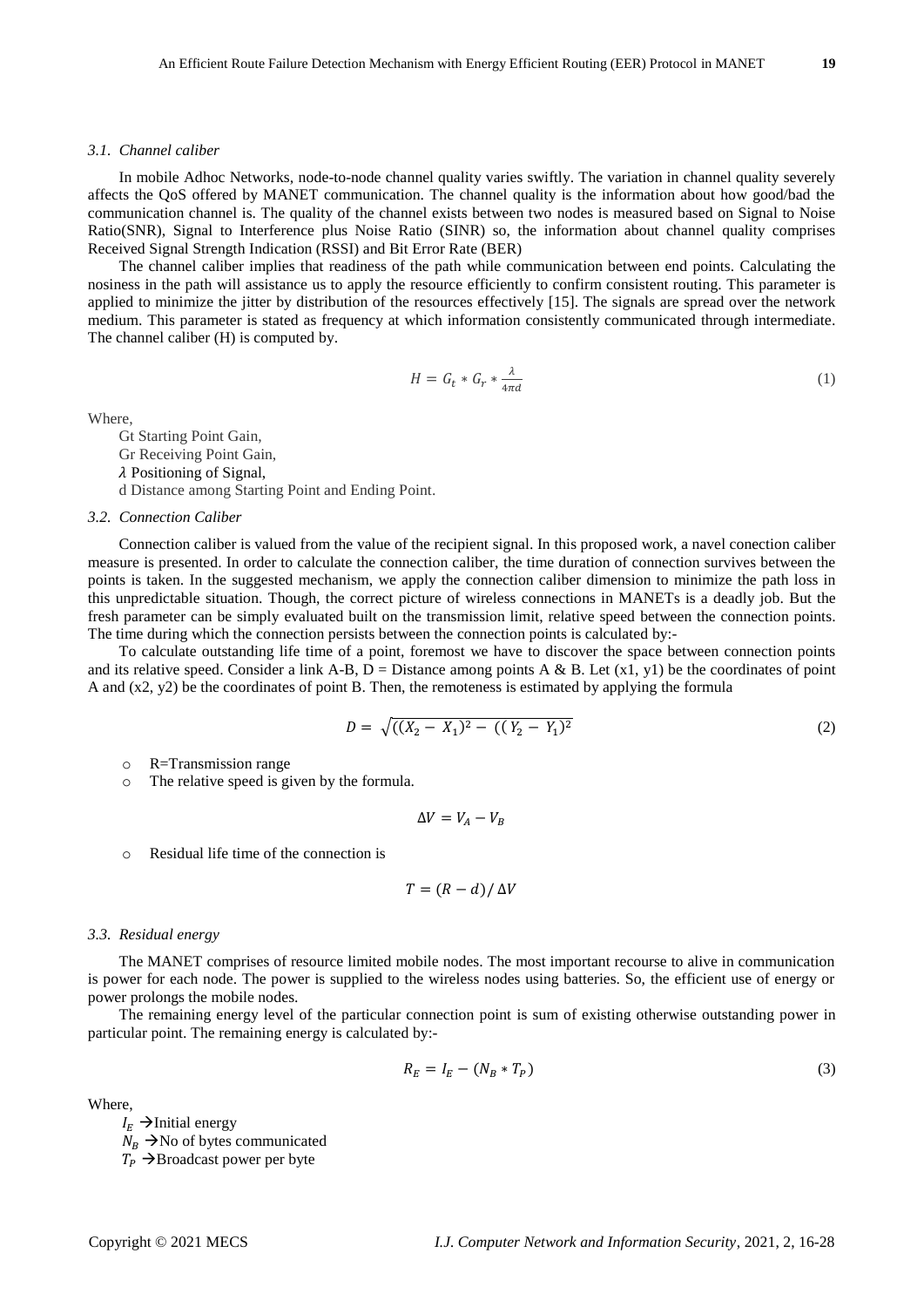### *3.1. Channel caliber*

In mobile Adhoc Networks, node-to-node channel quality varies swiftly. The variation in channel quality severely affects the QoS offered by MANET communication. The channel quality is the information about how good/bad the communication channel is. The quality of the channel exists between two nodes is measured based on Signal to Noise Ratio(SNR), Signal to Interference plus Noise Ratio (SINR) so, the information about channel quality comprises Received Signal Strength Indication (RSSI) and Bit Error Rate (BER)

The channel caliber implies that readiness of the path while communication between end points. Calculating the nosiness in the path will assistance us to apply the resource efficiently to confirm consistent routing. This parameter is applied to minimize the jitter by distribution of the resources effectively [15]. The signals are spread over the network medium. This parameter is stated as frequency at which information consistently communicated through intermediate. The channel caliber (H) is computed by.

$$
H = G_t * G_r * \frac{\lambda}{4\pi d} \tag{1}
$$

Where,

Gt Starting Point Gain, Gr Receiving Point Gain,  $\lambda$  Positioning of Signal, d Distance among Starting Point and Ending Point.

*3.2. Connection Caliber*

Connection caliber is valued from the value of the recipient signal. In this proposed work, a navel conection caliber measure is presented. In order to calculate the connection caliber, the time duration of connection survives between the points is taken. In the suggested mechanism, we apply the connection caliber dimension to minimize the path loss in this unpredictable situation. Though, the correct picture of wireless connections in MANETs is a deadly job. But the fresh parameter can be simply evaluated built on the transmission limit, relative speed between the connection points. The time during which the connection persists between the connection points is calculated by:-

To calculate outstanding life time of a point, foremost we have to discover the space between connection points and its relative speed. Consider a link A-B, D = Distance among points A & B. Let  $(x1, y1)$  be the coordinates of point A and (x2, y2) be the coordinates of point B. Then, the remoteness is estimated by applying the formula

$$
D = \sqrt{((X_2 - X_1)^2 - ((Y_2 - Y_1)^2)}
$$
 (2)

- o R=Transmission range
- o The relative speed is given by the formula.

$$
\Delta V = V_A - V_B
$$

o Residual life time of the connection is

$$
T = (R - d)/\Delta V
$$

#### *3.3. Residual energy*

The MANET comprises of resource limited mobile nodes. The most important recourse to alive in communication is power for each node. The power is supplied to the wireless nodes using batteries. So, the efficient use of energy or power prolongs the mobile nodes.

The remaining energy level of the particular connection point is sum of existing otherwise outstanding power in particular point. The remaining energy is calculated by:-

$$
R_E = I_E - (N_B * T_P) \tag{3}
$$

Where,

 $I_F \rightarrow$ Initial energy

 $N_B \rightarrow$ No of bytes communicated

 $T_P \rightarrow$ Broadcast power per byte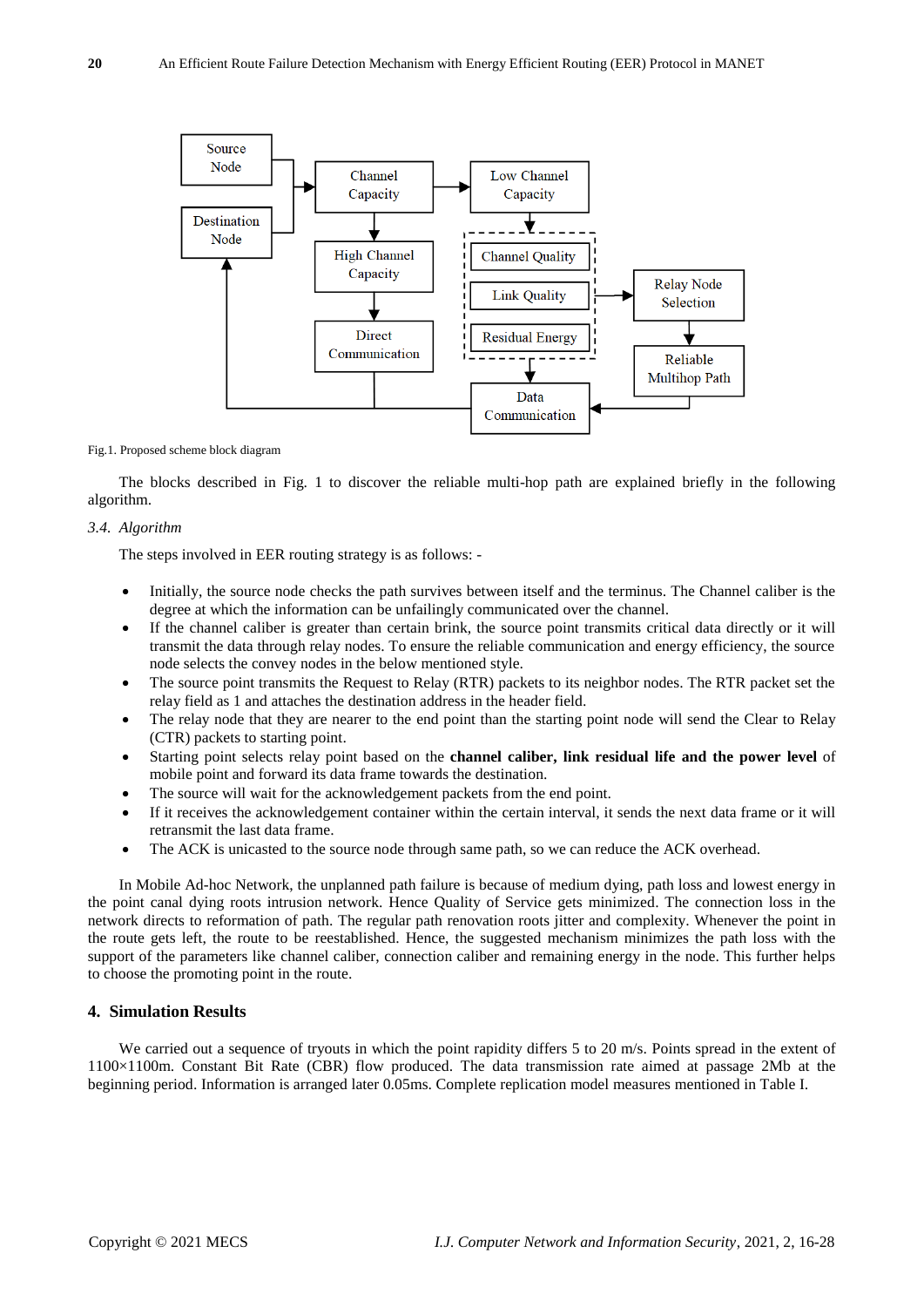

#### Fig.1. Proposed scheme block diagram

The blocks described in Fig. 1 to discover the reliable multi-hop path are explained briefly in the following algorithm.

## *3.4. Algorithm*

The steps involved in EER routing strategy is as follows: -

- Initially, the source node checks the path survives between itself and the terminus. The Channel caliber is the degree at which the information can be unfailingly communicated over the channel.
- If the channel caliber is greater than certain brink, the source point transmits critical data directly or it will transmit the data through relay nodes. To ensure the reliable communication and energy efficiency, the source node selects the convey nodes in the below mentioned style.
- The source point transmits the Request to Relay (RTR) packets to its neighbor nodes. The RTR packet set the relay field as 1 and attaches the destination address in the header field.
- The relay node that they are nearer to the end point than the starting point node will send the Clear to Relay (CTR) packets to starting point.
- Starting point selects relay point based on the **channel caliber, link residual life and the power level** of mobile point and forward its data frame towards the destination.
- The source will wait for the acknowledgement packets from the end point.
- If it receives the acknowledgement container within the certain interval, it sends the next data frame or it will retransmit the last data frame.
- The ACK is unicasted to the source node through same path, so we can reduce the ACK overhead.

In Mobile Ad-hoc Network, the unplanned path failure is because of medium dying, path loss and lowest energy in the point canal dying roots intrusion network. Hence Quality of Service gets minimized. The connection loss in the network directs to reformation of path. The regular path renovation roots jitter and complexity. Whenever the point in the route gets left, the route to be reestablished. Hence, the suggested mechanism minimizes the path loss with the support of the parameters like channel caliber, connection caliber and remaining energy in the node. This further helps to choose the promoting point in the route.

# **4. Simulation Results**

We carried out a sequence of tryouts in which the point rapidity differs 5 to 20 m/s. Points spread in the extent of 1100×1100m. Constant Bit Rate (CBR) flow produced. The data transmission rate aimed at passage 2Mb at the beginning period. Information is arranged later 0.05ms. Complete replication model measures mentioned in Table I.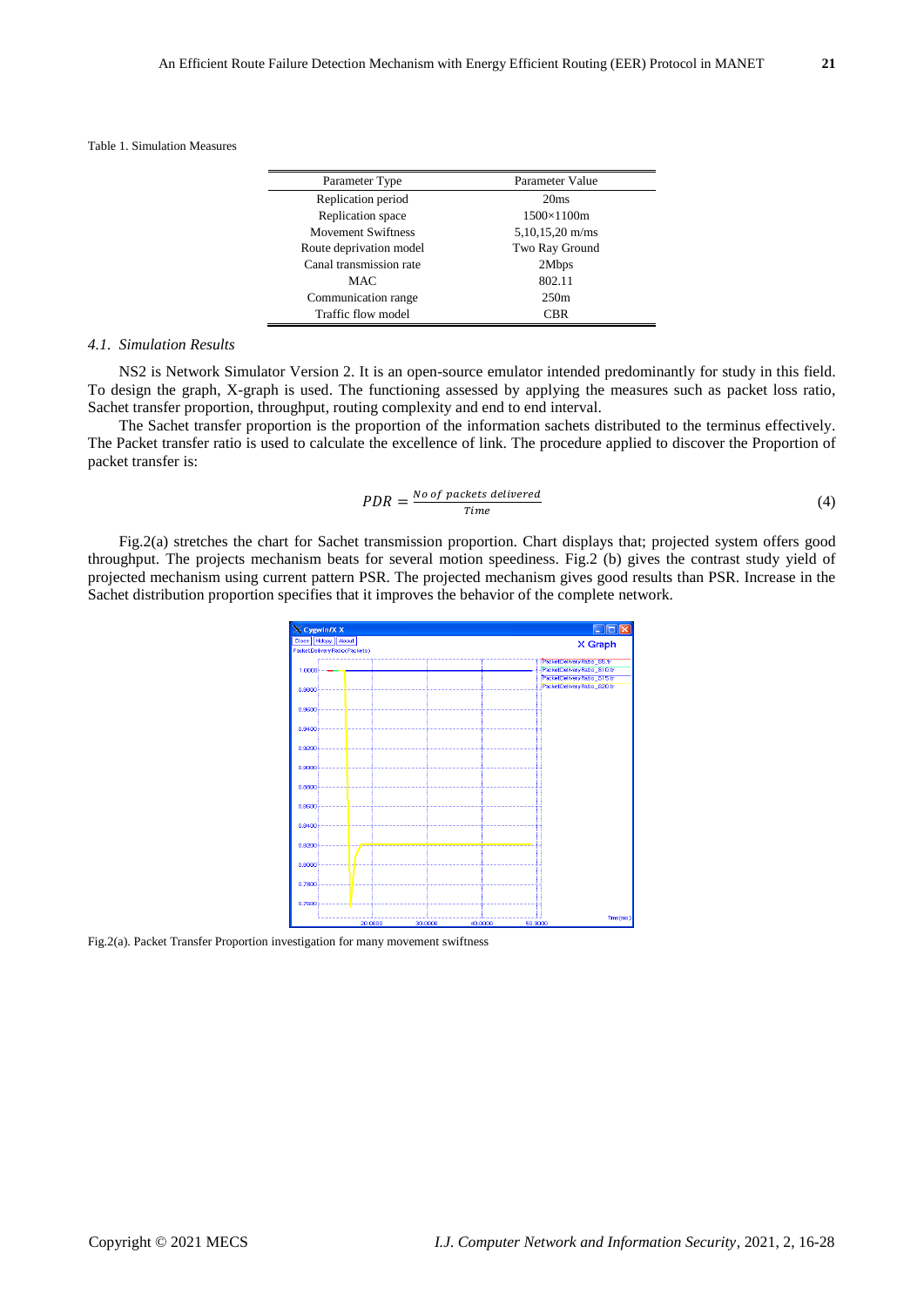### Table 1. Simulation Measures

| Parameter Type            | Parameter Value      |
|---------------------------|----------------------|
| Replication period        | 20ms                 |
| Replication space         | $1500 \times 1100$ m |
| <b>Movement Swiftness</b> | $5,10,15,20$ m/ms    |
| Route deprivation model   | Two Ray Ground       |
| Canal transmission rate   | 2Mbps                |
| <b>MAC</b>                | 802.11               |
| Communication range       | 250m                 |
| Traffic flow model        | CBR                  |

#### *4.1. Simulation Results*

NS2 is Network Simulator Version 2. It is an open-source emulator intended predominantly for study in this field. To design the graph, X-graph is used. The functioning assessed by applying the measures such as packet loss ratio, Sachet transfer proportion, throughput, routing complexity and end to end interval.

The Sachet transfer proportion is the proportion of the information sachets distributed to the terminus effectively. The Packet transfer ratio is used to calculate the excellence of link. The procedure applied to discover the Proportion of packet transfer is:

$$
PDR = \frac{No \ of \ packets \ delivered}{Time} \tag{4}
$$

Fig.2(a) stretches the chart for Sachet transmission proportion. Chart displays that; projected system offers good throughput. The projects mechanism beats for several motion speediness. Fig.2 (b) gives the contrast study yield of projected mechanism using current pattern PSR. The projected mechanism gives good results than PSR. Increase in the Sachet distribution proportion specifies that it improves the behavior of the complete network.



Fig.2(a). Packet Transfer Proportion investigation for many movement swiftness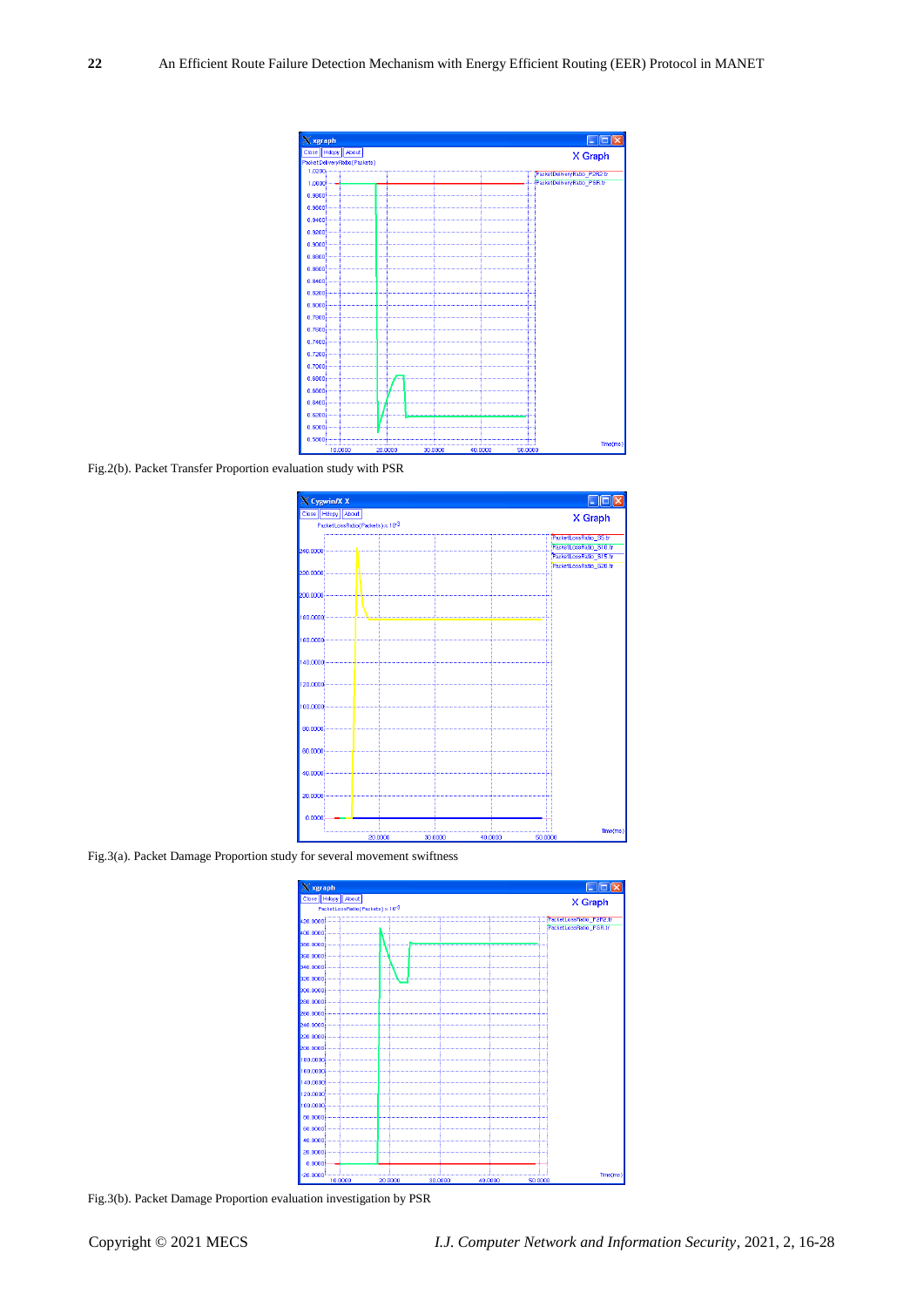| X xgraph                     |         |         |         |         |                               |
|------------------------------|---------|---------|---------|---------|-------------------------------|
| Close   Hdcpy   About        |         |         |         |         | X Graph                       |
| PacketDeliveryRatio(Packets) |         |         |         |         |                               |
|                              |         |         |         |         | Packet Delivery Ratio_P2R2.tr |
| 1.0000                       |         |         |         |         | Packet Delivery Ratio PSR.tr  |
| 0.9800                       |         |         |         |         |                               |
| 0.9600                       |         |         |         |         |                               |
|                              |         |         |         |         |                               |
| 0.9400                       |         |         |         |         |                               |
| 0.9200                       |         |         |         |         |                               |
| 0.9000                       |         |         |         |         |                               |
| 0.8800                       |         |         |         |         |                               |
| 0.8600                       |         |         |         |         |                               |
| 0.8400                       |         |         |         |         |                               |
|                              |         |         |         |         |                               |
| 0.8200 <sub>1</sub>          |         |         |         |         |                               |
| 0.8000                       |         |         |         |         |                               |
| 0.7800                       |         |         |         |         |                               |
| 0.7600 <sup>1</sup>          |         |         |         |         |                               |
| 0.7400                       |         |         |         |         |                               |
| 0.7200 <sub>1</sub>          |         |         |         |         |                               |
|                              |         |         |         |         |                               |
| 0.7000                       |         |         |         |         |                               |
| 0.6800                       |         |         |         |         |                               |
| 0.6600                       |         |         |         |         |                               |
| 0.6400                       |         |         |         |         |                               |
| 0.6200                       |         |         |         |         |                               |
| 0.6000                       |         |         |         |         |                               |
|                              |         |         |         |         |                               |
| 0.5800                       |         |         |         |         | Time(ms)                      |
| 10,0000                      | 20,0000 | 30,0000 | 40,0000 | 50,0000 |                               |

Fig.2(b). Packet Transfer Proportion evaluation study with PSR



Fig.3(a). Packet Damage Proportion study for several movement swiftness



Fig.3(b). Packet Damage Proportion evaluation investigation by PSR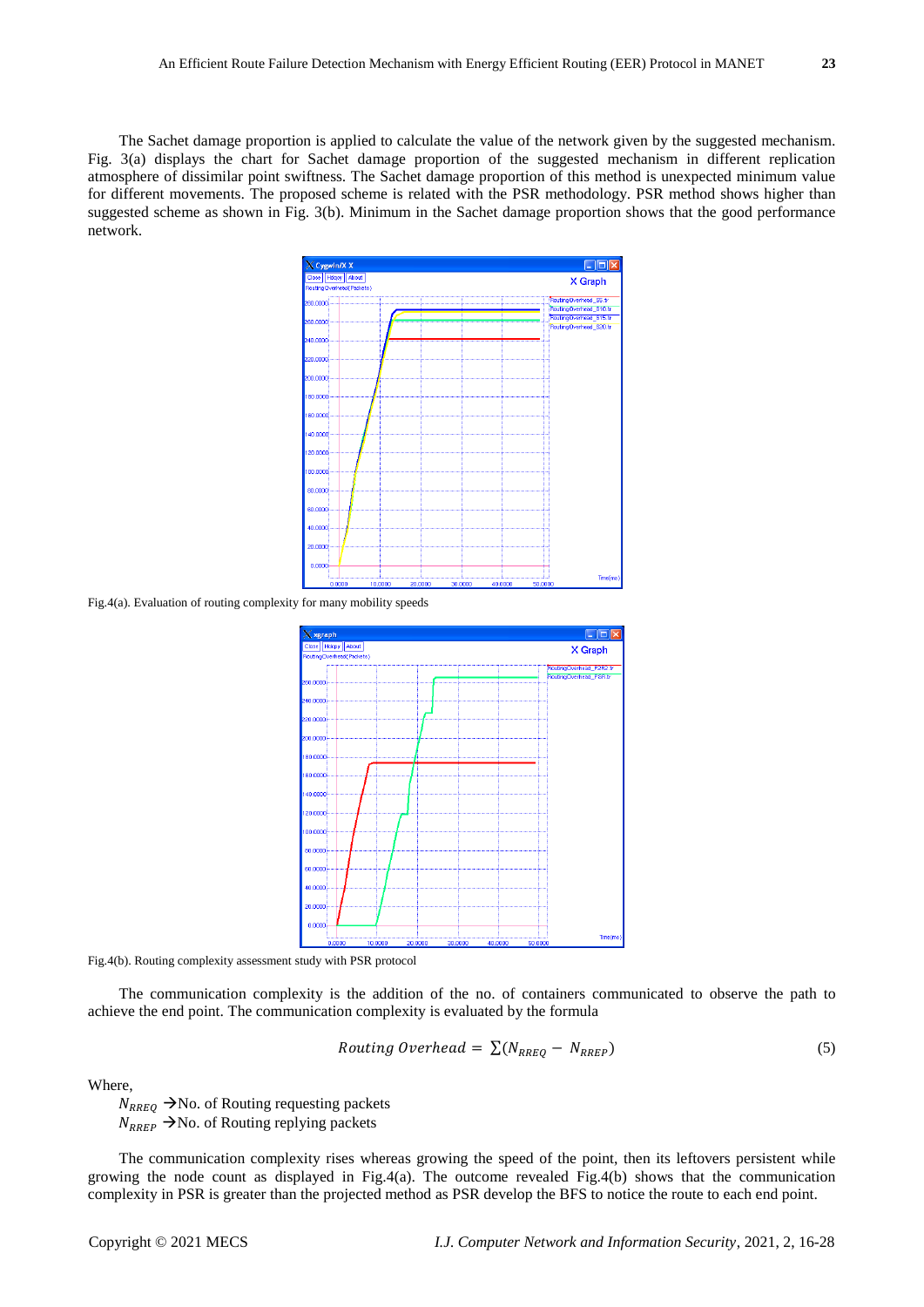The Sachet damage proportion is applied to calculate the value of the network given by the suggested mechanism. Fig. 3(a) displays the chart for Sachet damage proportion of the suggested mechanism in different replication atmosphere of dissimilar point swiftness. The Sachet damage proportion of this method is unexpected minimum value for different movements. The proposed scheme is related with the PSR methodology. PSR method shows higher than suggested scheme as shown in Fig. 3(b). Minimum in the Sachet damage proportion shows that the good performance network.



Fig.4(a). Evaluation of routing complexity for many mobility speeds



Fig.4(b). Routing complexity assessment study with PSR protocol

The communication complexity is the addition of the no. of containers communicated to observe the path to achieve the end point. The communication complexity is evaluated by the formula

$$
Routing Overhead = \sum (N_{RREQ} - N_{RREP})
$$
\n
$$
(5)
$$

Where,

 $N_{RREO}$   $\rightarrow$  No. of Routing requesting packets  $N_{RREF} \rightarrow$ No. of Routing replying packets

The communication complexity rises whereas growing the speed of the point, then its leftovers persistent while growing the node count as displayed in Fig.4(a). The outcome revealed Fig.4(b) shows that the communication complexity in PSR is greater than the projected method as PSR develop the BFS to notice the route to each end point.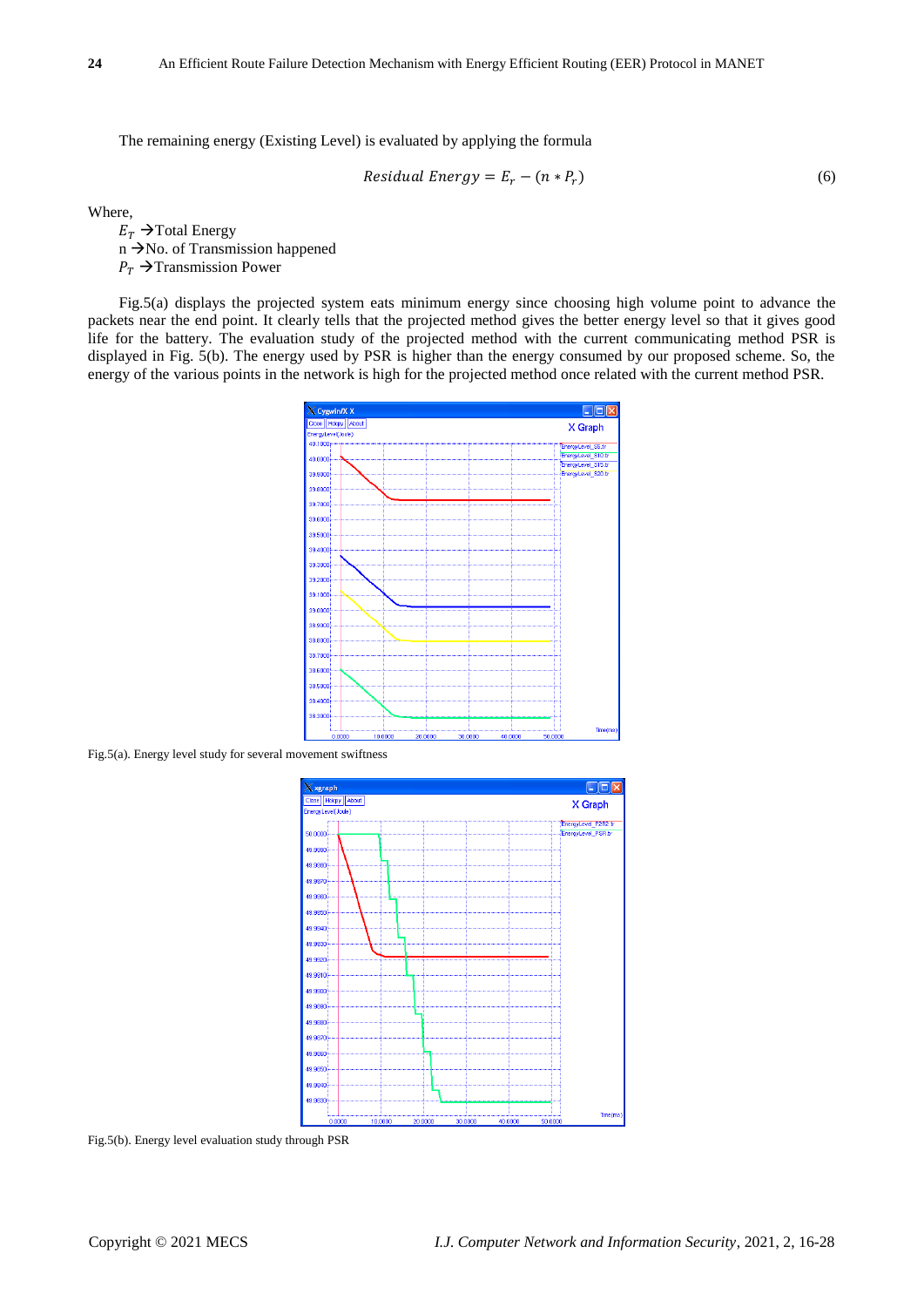The remaining energy (Existing Level) is evaluated by applying the formula

$$
Residual Energy = E_r - (n * P_r)
$$
\n(6)

Where,

 $E_T \rightarrow$ Total Energy  $n \rightarrow$ No. of Transmission happened  $P_T \rightarrow$ Transmission Power

Fig.5(a) displays the projected system eats minimum energy since choosing high volume point to advance the packets near the end point. It clearly tells that the projected method gives the better energy level so that it gives good life for the battery. The evaluation study of the projected method with the current communicating method PSR is displayed in Fig. 5(b). The energy used by PSR is higher than the energy consumed by our proposed scheme. So, the energy of the various points in the network is high for the projected method once related with the current method PSR.



Fig.5(a). Energy level study for several movement swiftness



Fig.5(b). Energy level evaluation study through PSR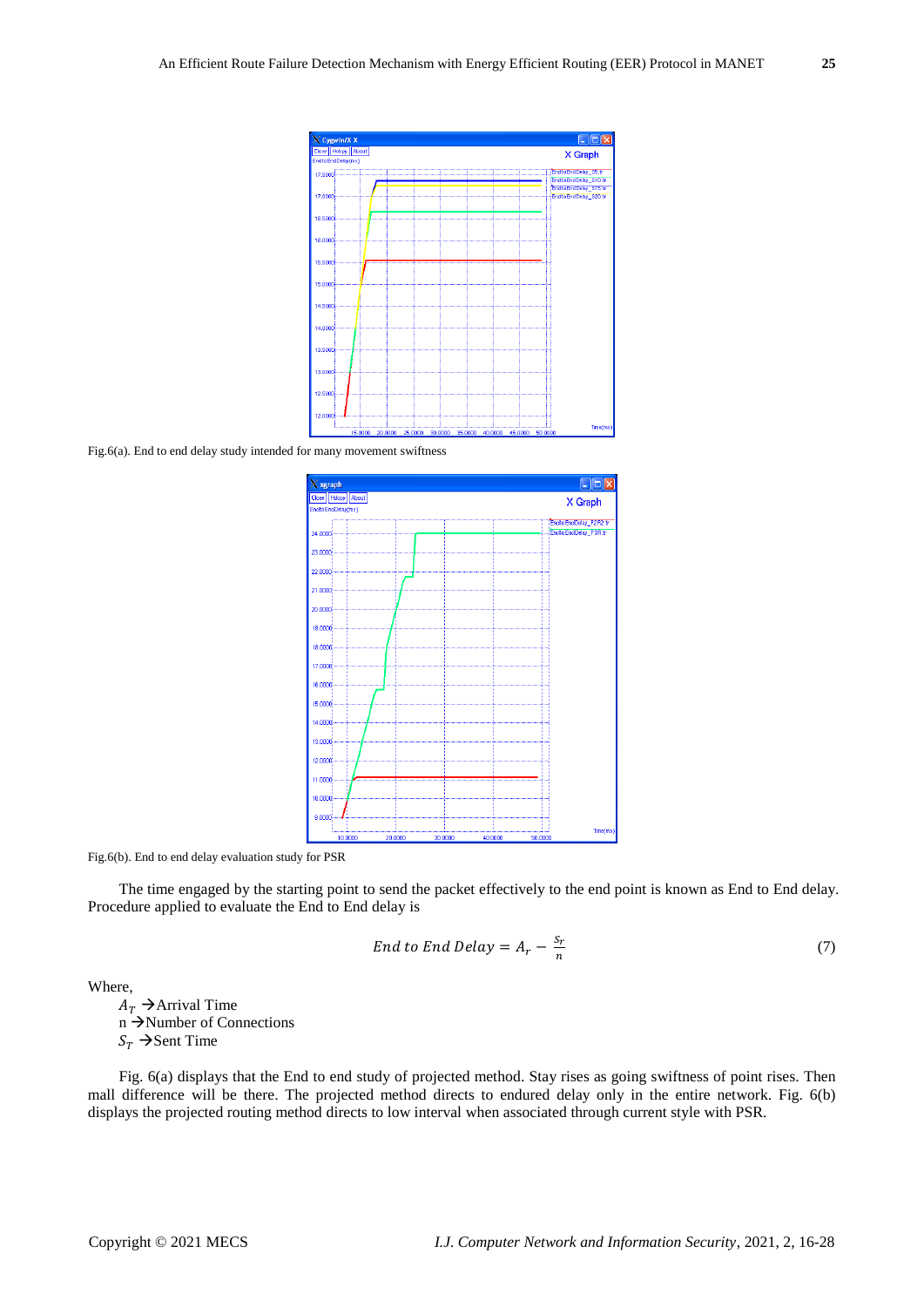

Fig.6(a). End to end delay study intended for many movement swiftness



Fig.6(b). End to end delay evaluation study for PSR

The time engaged by the starting point to send the packet effectively to the end point is known as End to End delay. Procedure applied to evaluate the End to End delay is

$$
End\ to\ End\ Delay = A_r - \frac{s_r}{n} \tag{7}
$$

Where,

 $A_T \rightarrow$ Arrival Time  $n \rightarrow$ Number of Connections  $S_T \rightarrow$ Sent Time

Fig. 6(a) displays that the End to end study of projected method. Stay rises as going swiftness of point rises. Then mall difference will be there. The projected method directs to endured delay only in the entire network. Fig. 6(b) displays the projected routing method directs to low interval when associated through current style with PSR.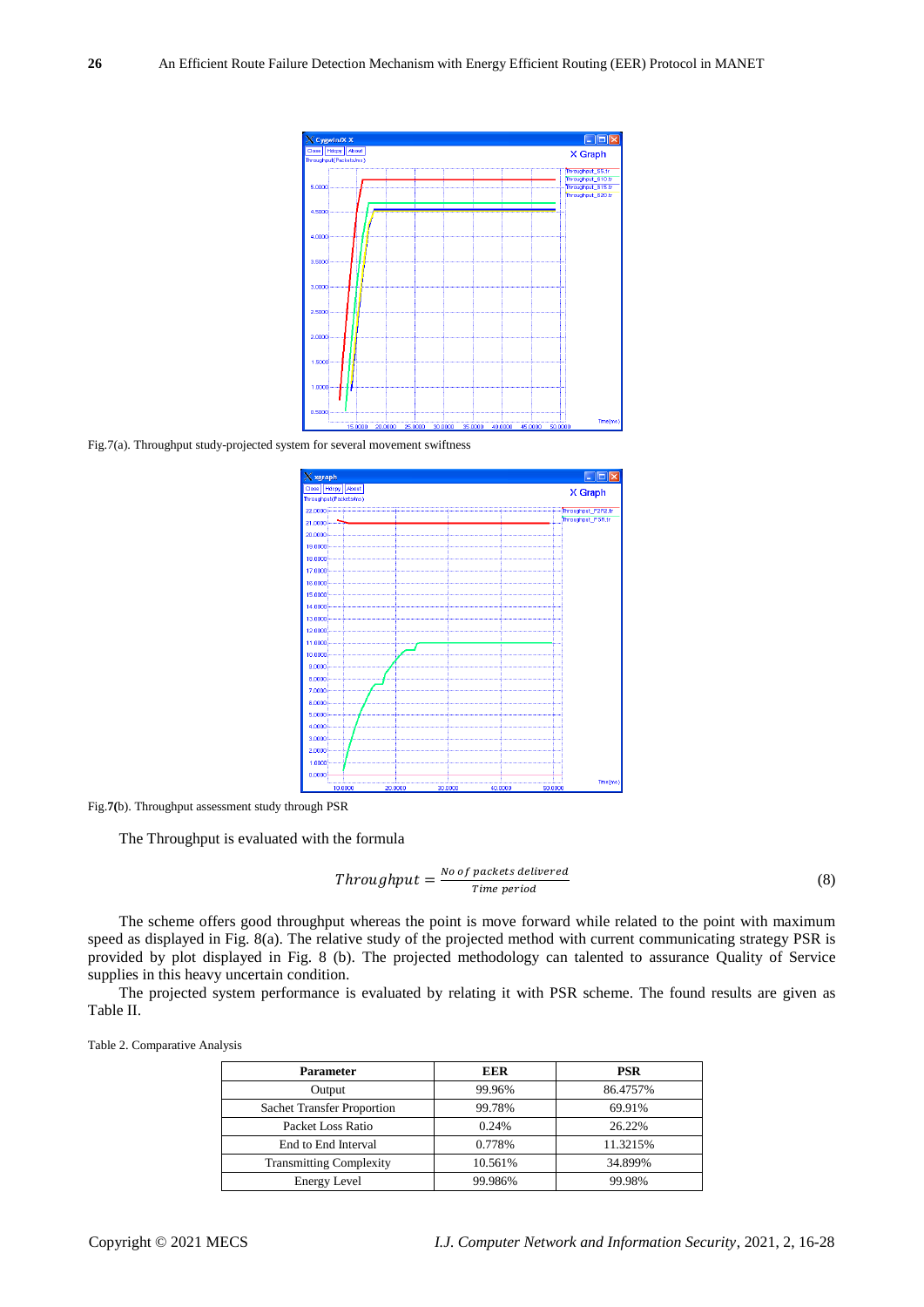

Fig.7(a). Throughput study-projected system for several movement swiftness



Fig.**7(**b). Throughput assessment study through PSR

The Throughput is evaluated with the formula

$$
Throughput = \frac{No \ of \ packets \ delivered}{Time \ period}
$$
\n(8)

The scheme offers good throughput whereas the point is move forward while related to the point with maximum speed as displayed in Fig. 8(a). The relative study of the projected method with current communicating strategy PSR is provided by plot displayed in Fig. 8 (b). The projected methodology can talented to assurance Quality of Service supplies in this heavy uncertain condition.

The projected system performance is evaluated by relating it with PSR scheme. The found results are given as Table II.

| <b>Parameter</b>               | <b>EER</b> | <b>PSR</b> |
|--------------------------------|------------|------------|
| Output                         | 99.96%     | 86.4757%   |
| Sachet Transfer Proportion     | 99.78%     | 69.91%     |
| Packet Loss Ratio              | 0.24%      | 26.22%     |
| End to End Interval            | 0.778%     | 11.3215%   |
| <b>Transmitting Complexity</b> | 10.561%    | 34.899%    |
| <b>Energy Level</b>            | 99.986%    | 99.98%     |

|  | Table 2. Comparative Analysis |  |
|--|-------------------------------|--|
|--|-------------------------------|--|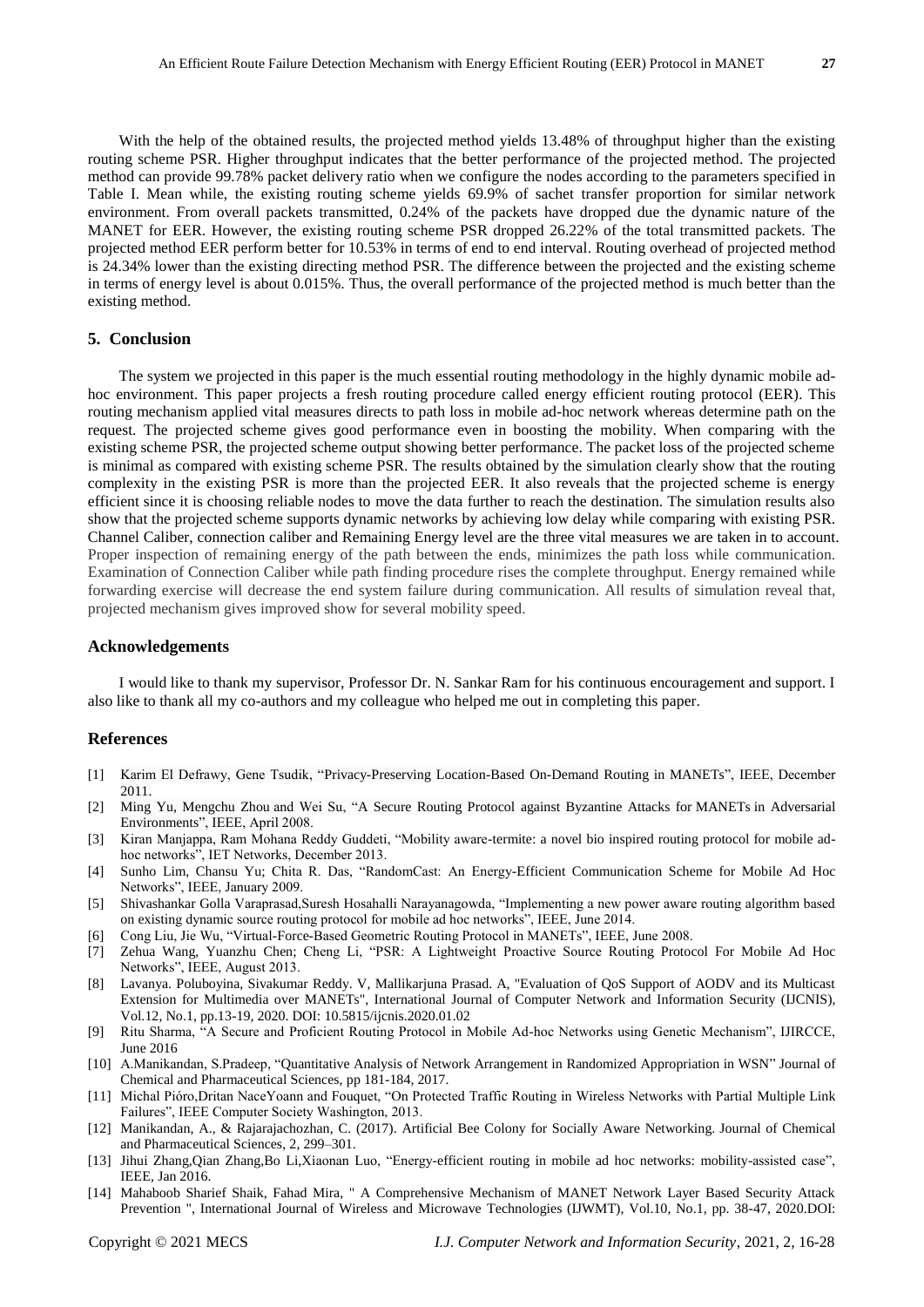With the help of the obtained results, the projected method yields 13.48% of throughput higher than the existing routing scheme PSR. Higher throughput indicates that the better performance of the projected method. The projected method can provide 99.78% packet delivery ratio when we configure the nodes according to the parameters specified in Table I. Mean while, the existing routing scheme yields 69.9% of sachet transfer proportion for similar network environment. From overall packets transmitted, 0.24% of the packets have dropped due the dynamic nature of the MANET for EER. However, the existing routing scheme PSR dropped 26.22% of the total transmitted packets. The projected method EER perform better for 10.53% in terms of end to end interval. Routing overhead of projected method is 24.34% lower than the existing directing method PSR. The difference between the projected and the existing scheme in terms of energy level is about 0.015%. Thus, the overall performance of the projected method is much better than the existing method.

#### **5. Conclusion**

The system we projected in this paper is the much essential routing methodology in the highly dynamic mobile adhoc environment. This paper projects a fresh routing procedure called energy efficient routing protocol (EER). This routing mechanism applied vital measures directs to path loss in mobile ad-hoc network whereas determine path on the request. The projected scheme gives good performance even in boosting the mobility. When comparing with the existing scheme PSR, the projected scheme output showing better performance. The packet loss of the projected scheme is minimal as compared with existing scheme PSR. The results obtained by the simulation clearly show that the routing complexity in the existing PSR is more than the projected EER. It also reveals that the projected scheme is energy efficient since it is choosing reliable nodes to move the data further to reach the destination. The simulation results also show that the projected scheme supports dynamic networks by achieving low delay while comparing with existing PSR. Channel Caliber, connection caliber and Remaining Energy level are the three vital measures we are taken in to account. Proper inspection of remaining energy of the path between the ends, minimizes the path loss while communication. Examination of Connection Caliber while path finding procedure rises the complete throughput. Energy remained while forwarding exercise will decrease the end system failure during communication. All results of simulation reveal that, projected mechanism gives improved show for several mobility speed.

## **Acknowledgements**

I would like to thank my supervisor, Professor Dr. N. Sankar Ram for his continuous encouragement and support. I also like to thank all my co-authors and my colleague who helped me out in completing this paper.

## **References**

- [1] Karim El Defrawy, Gene Tsudik, "Privacy-Preserving Location-Based On-Demand Routing in MANETs", IEEE, December 2011.
- [2] Ming Yu, Mengchu Zhou and Wei Su, "A Secure Routing Protocol against Byzantine Attacks for MANETs in Adversarial Environments", IEEE, April 2008.
- [3] Kiran Manjappa, Ram Mohana Reddy Guddeti, "Mobility aware-termite: a novel bio inspired routing protocol for mobile adhoc networks", IET Networks, December 2013.
- [4] Sunho Lim, Chansu Yu; Chita R. Das, "RandomCast: An Energy-Efficient Communication Scheme for Mobile Ad Hoc Networks", IEEE, January 2009.
- [5] Shivashankar Golla Varaprasad,Suresh Hosahalli Narayanagowda, "Implementing a new power aware routing algorithm based on existing dynamic source routing protocol for mobile ad hoc networks", IEEE, June 2014.
- [6] Cong Liu, Jie Wu, "Virtual-Force-Based Geometric Routing Protocol in MANETs", IEEE, June 2008.
- [7] Zehua Wang, Yuanzhu Chen; Cheng Li, "PSR: A Lightweight Proactive Source Routing Protocol For Mobile Ad Hoc Networks", IEEE, August 2013.
- [8] Lavanya. Poluboyina, Sivakumar Reddy. V, Mallikarjuna Prasad. A, "Evaluation of QoS Support of AODV and its Multicast Extension for Multimedia over MANETs", International Journal of Computer Network and Information Security (IJCNIS), Vol.12, No.1, pp.13-19, 2020. DOI: 10.5815/ijcnis.2020.01.02
- [9] Ritu Sharma, "A Secure and Proficient Routing Protocol in Mobile Ad-hoc Networks using Genetic Mechanism", IJIRCCE, June 2016
- [10] A.Manikandan, S.Pradeep, "Quantitative Analysis of Network Arrangement in Randomized Appropriation in WSN" Journal of Chemical and Pharmaceutical Sciences, pp 181-184, 2017.
- [11] Michal Pióro,Dritan NaceYoann and Fouquet, "On Protected Traffic Routing in Wireless Networks with Partial Multiple Link Failures", IEEE Computer Society Washington, 2013.
- [12] Manikandan, A., & Rajarajachozhan, C. (2017). Artificial Bee Colony for Socially Aware Networking. Journal of Chemical and Pharmaceutical Sciences, 2, 299–301.
- [13] Jihui Zhang,Qian Zhang,Bo Li,Xiaonan Luo, "Energy-efficient routing in mobile ad hoc networks: mobility-assisted case", IEEE, Jan 2016.
- [14] Mahaboob Sharief Shaik, Fahad Mira, " A Comprehensive Mechanism of MANET Network Layer Based Security Attack Prevention ", International Journal of Wireless and Microwave Technologies (IJWMT), Vol.10, No.1, pp. 38-47, 2020.DOI: